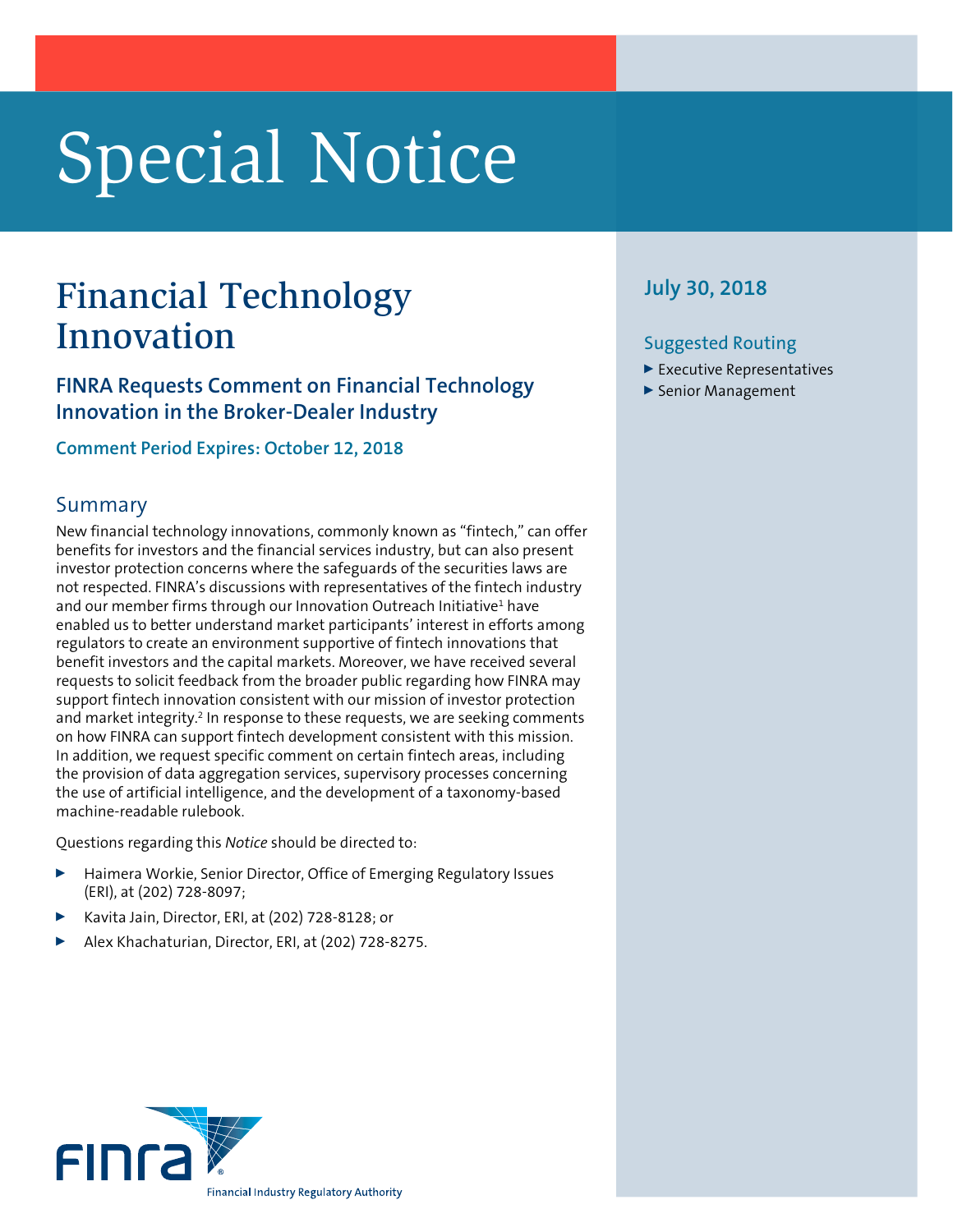# Special Notice

## Financial Technology July 30, 2018 Innovation

**FINRA Requests Comment on Financial Technology Innovation in the Broker-Dealer Industry**

**Comment Period Expires: October 12, 2018**

#### Summary

New financial technology innovations, commonly known as "fintech," can offer benefits for investors and the financial services industry, but can also present investor protection concerns where the safeguards of the securities laws are not respected. FINRA's discussions with representatives of the fintech industry and our member firms through our Innovation Outreach Initiative<sup>1</sup> have enabled us to better understand market participants' interest in efforts among regulators to create an environment supportive of fintech innovations that benefit investors and the capital markets. Moreover, we have received several requests to solicit feedback from the broader public regarding how FINRA may support fintech innovation consistent with our mission of investor protection and market integrity.<sup>2</sup> In response to these requests, we are seeking comments on how FINRA can support fintech development consistent with this mission. In addition, we request specific comment on certain fintech areas, including the provision of data aggregation services, supervisory processes concerning the use of artificial intelligence, and the development of a taxonomy-based machine-readable rulebook.

Questions regarding this *Notice* should be directed to:

- Haimera Workie, Senior Director, Office of Emerging Regulatory Issues (ERI), at (202) 728-8097;
- <sup>0</sup> Kavita Jain, Director, ERI, at (202) 728-8128; or
- Alex Khachaturian, Director, ERI, at (202) 728-8275.



#### Suggested Routing

- $\blacktriangleright$  Executive Representatives
- ▶ Senior Management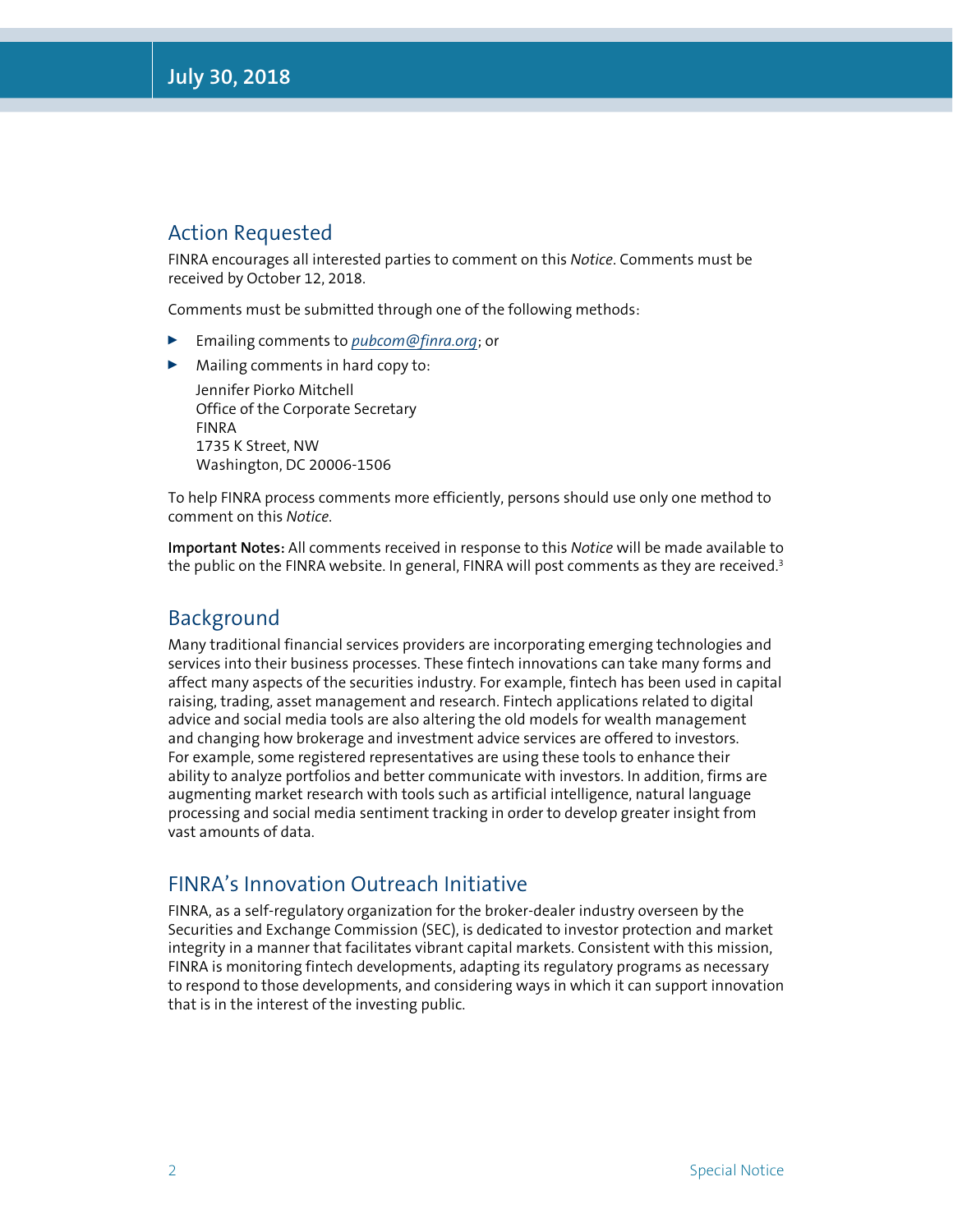#### Action Requested

FINRA encourages all interested parties to comment on this *Notice*. Comments must be received by October 12, 2018.

Comments must be submitted through one of the following methods:

- <sup>0</sup> Emailing comments to *pubcom@finra.org*; or
- $\blacktriangleright$  Mailing comments in hard copy to:

Jennifer Piorko Mitchell Office of the Corporate Secretary FINRA 1735 K Street, NW Washington, DC 20006-1506

To help FINRA process comments more efficiently, persons should use only one method to comment on this *Notice*.

**Important Notes:** All comments received in response to this *Notice* will be made available to the public on the FINRA website. In general, FINRA will post comments as they are received.<sup>3</sup>

#### Background

Many traditional financial services providers are incorporating emerging technologies and services into their business processes. These fintech innovations can take many forms and affect many aspects of the securities industry. For example, fintech has been used in capital raising, trading, asset management and research. Fintech applications related to digital advice and social media tools are also altering the old models for wealth management and changing how brokerage and investment advice services are offered to investors. For example, some registered representatives are using these tools to enhance their ability to analyze portfolios and better communicate with investors. In addition, firms are augmenting market research with tools such as artificial intelligence, natural language processing and social media sentiment tracking in order to develop greater insight from vast amounts of data.

#### FINRA's Innovation Outreach Initiative

FINRA, as a self-regulatory organization for the broker-dealer industry overseen by the Securities and Exchange Commission (SEC), is dedicated to investor protection and market integrity in a manner that facilitates vibrant capital markets. Consistent with this mission, FINRA is monitoring fintech developments, adapting its regulatory programs as necessary to respond to those developments, and considering ways in which it can support innovation that is in the interest of the investing public.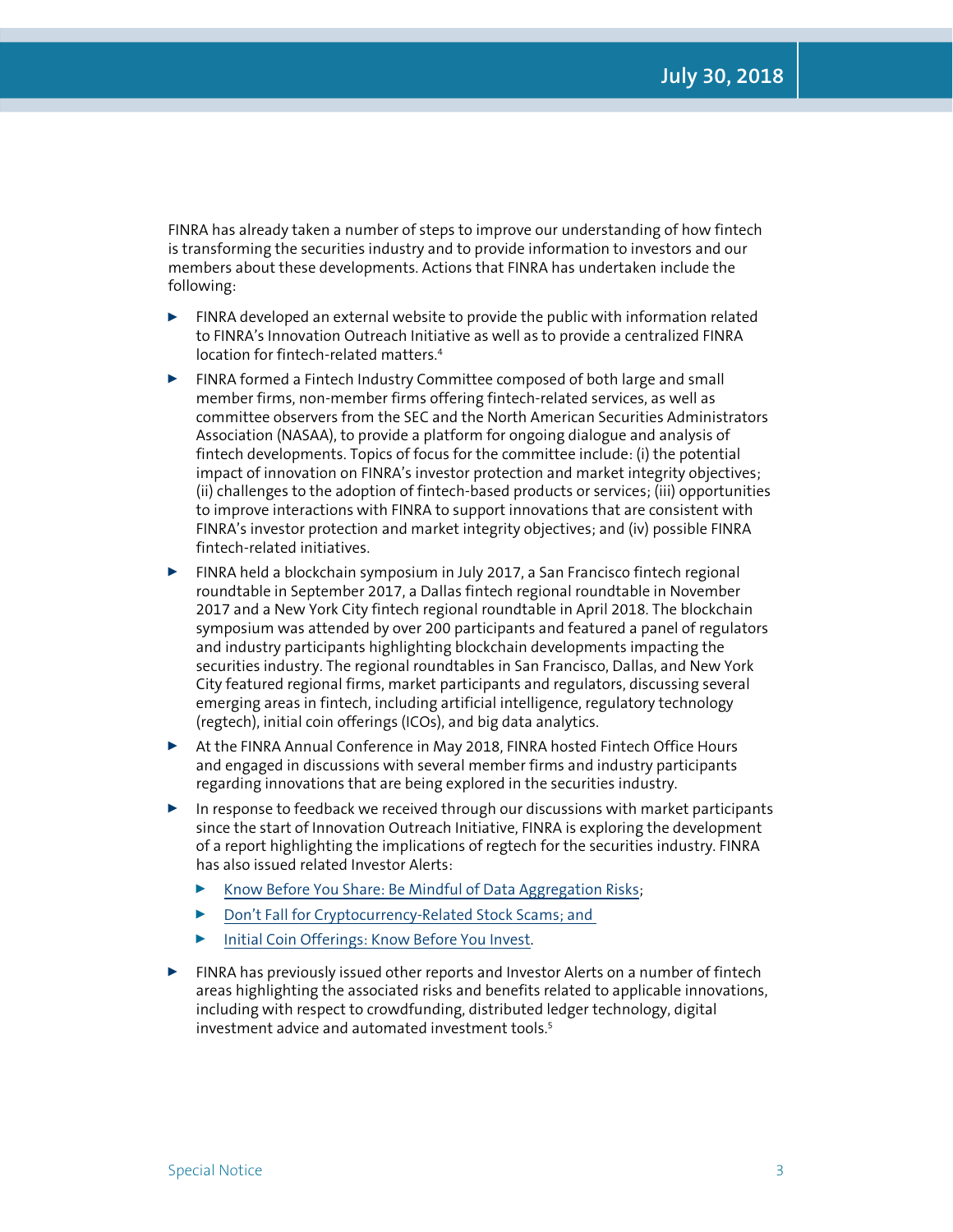FINRA has already taken a number of steps to improve our understanding of how fintech is transforming the securities industry and to provide information to investors and our members about these developments. Actions that FINRA has undertaken include the following:

- $\blacktriangleright$  FINRA developed an external website to provide the public with information related to FINRA's Innovation Outreach Initiative as well as to provide a centralized FINRA location for fintech-related matters.4
- $\blacktriangleright$  FINRA formed a Fintech Industry Committee composed of both large and small member firms, non-member firms offering fintech-related services, as well as committee observers from the SEC and the North American Securities Administrators Association (NASAA), to provide a platform for ongoing dialogue and analysis of fintech developments. Topics of focus for the committee include: (i) the potential impact of innovation on FINRA's investor protection and market integrity objectives; (ii) challenges to the adoption of fintech-based products or services; (iii) opportunities to improve interactions with FINRA to support innovations that are consistent with FINRA's investor protection and market integrity objectives; and (iv) possible FINRA fintech-related initiatives.
- ▶ FINRA held a blockchain symposium in July 2017, a San Francisco fintech regional roundtable in September 2017, a Dallas fintech regional roundtable in November 2017 and a New York City fintech regional roundtable in April 2018. The blockchain symposium was attended by over 200 participants and featured a panel of regulators and industry participants highlighting blockchain developments impacting the securities industry. The regional roundtables in San Francisco, Dallas, and New York City featured regional firms, market participants and regulators, discussing several emerging areas in fintech, including artificial intelligence, regulatory technology (regtech), initial coin offerings (ICOs), and big data analytics.
- ▶ At the FINRA Annual Conference in May 2018, FINRA hosted Fintech Office Hours and engaged in discussions with several member firms and industry participants regarding innovations that are being explored in the securities industry.
- $\triangleright$  In response to feedback we received through our discussions with market participants since the start of Innovation Outreach Initiative, FINRA is exploring the development of a report highlighting the implications of regtech for the securities industry. FINRA has also issued related Investor Alerts:
	- ▶ [Know Before You Share: Be Mindful of Data Aggregation Risks;](http://www.finra.org/investors/alerts/know-you-share-be-mindful-data-aggregation-risks)
	- ▶ Don't Fall for Cryptocurrency-Related Stock Scams; and
	- [Initial Coin Offerings: Know Before You Invest.](http://www.finra.org/investors/alerts/initial-coin-offerings-know-before-you-invest)
- $\blacktriangleright$  FINRA has previously issued other reports and Investor Alerts on a number of fintech areas highlighting the associated risks and benefits related to applicable innovations, including with respect to crowdfunding, distributed ledger technology, digital investment advice and automated investment tools.<sup>5</sup>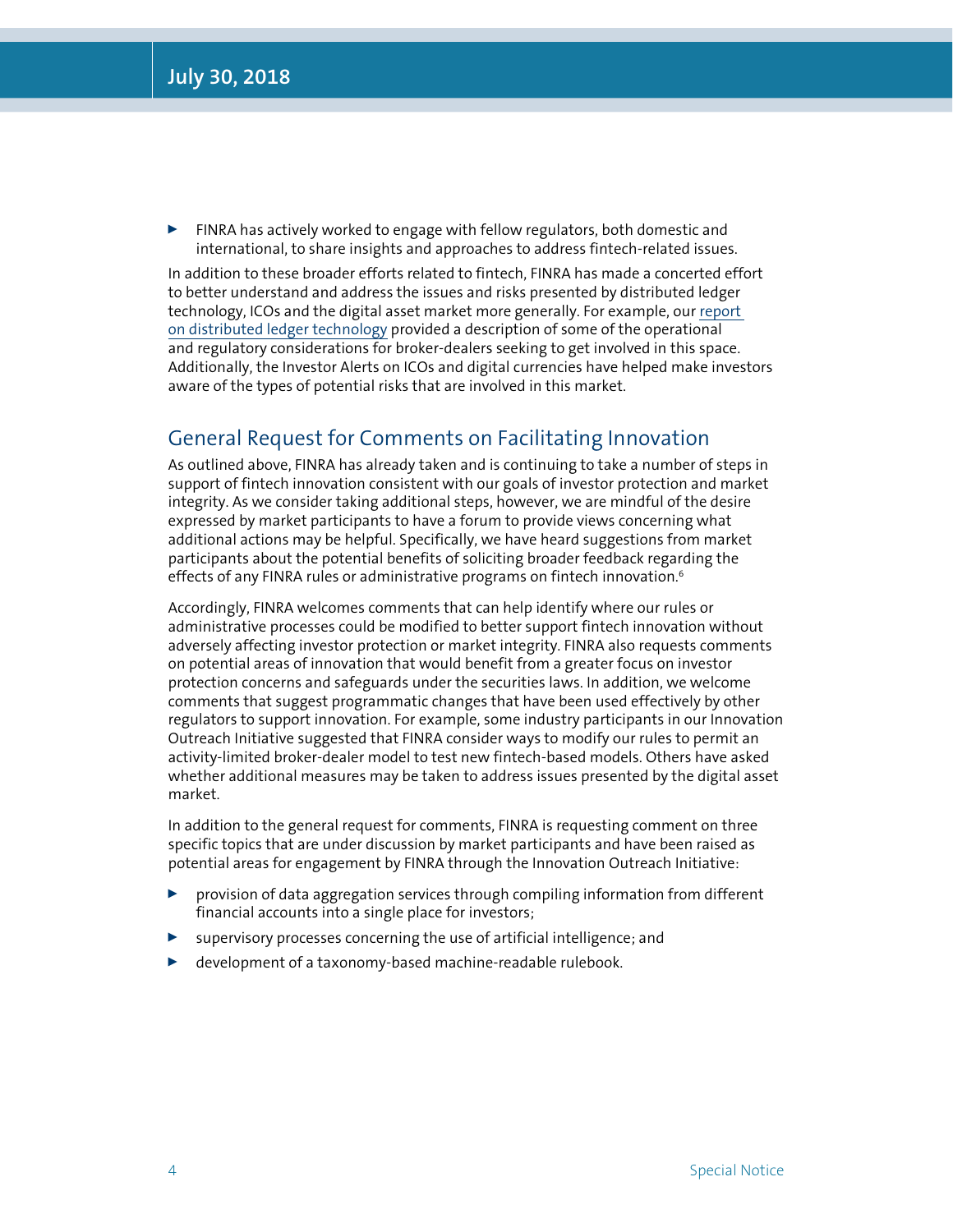FINRA has actively worked to engage with fellow regulators, both domestic and international, to share insights and approaches to address fintech-related issues.

In addition to these broader efforts related to fintech, FINRA has made a concerted effort to better understand and address the issues and risks presented by distributed ledger technology, ICOs and the digital asset market more generally. For example, our [report](http://www.finra.org/industry/blockchain-report)  [on distributed ledger technology](http://www.finra.org/industry/blockchain-report) provided a description of some of the operational and regulatory considerations for broker-dealers seeking to get involved in this space. Additionally, the Investor Alerts on ICOs and digital currencies have helped make investors aware of the types of potential risks that are involved in this market.

### General Request for Comments on Facilitating Innovation

As outlined above, FINRA has already taken and is continuing to take a number of steps in support of fintech innovation consistent with our goals of investor protection and market integrity. As we consider taking additional steps, however, we are mindful of the desire expressed by market participants to have a forum to provide views concerning what additional actions may be helpful. Specifically, we have heard suggestions from market participants about the potential benefits of soliciting broader feedback regarding the effects of any FINRA rules or administrative programs on fintech innovation. $6$ 

Accordingly, FINRA welcomes comments that can help identify where our rules or administrative processes could be modified to better support fintech innovation without adversely affecting investor protection or market integrity. FINRA also requests comments on potential areas of innovation that would benefit from a greater focus on investor protection concerns and safeguards under the securities laws. In addition, we welcome comments that suggest programmatic changes that have been used effectively by other regulators to support innovation. For example, some industry participants in our Innovation Outreach Initiative suggested that FINRA consider ways to modify our rules to permit an activity-limited broker-dealer model to test new fintech-based models. Others have asked whether additional measures may be taken to address issues presented by the digital asset market.

In addition to the general request for comments, FINRA is requesting comment on three specific topics that are under discussion by market participants and have been raised as potential areas for engagement by FINRA through the Innovation Outreach Initiative:

- **Depending 2** provision of data aggregation services through compiling information from different financial accounts into a single place for investors;
- supervisory processes concerning the use of artificial intelligence; and
- $\blacktriangleright$  development of a taxonomy-based machine-readable rulebook.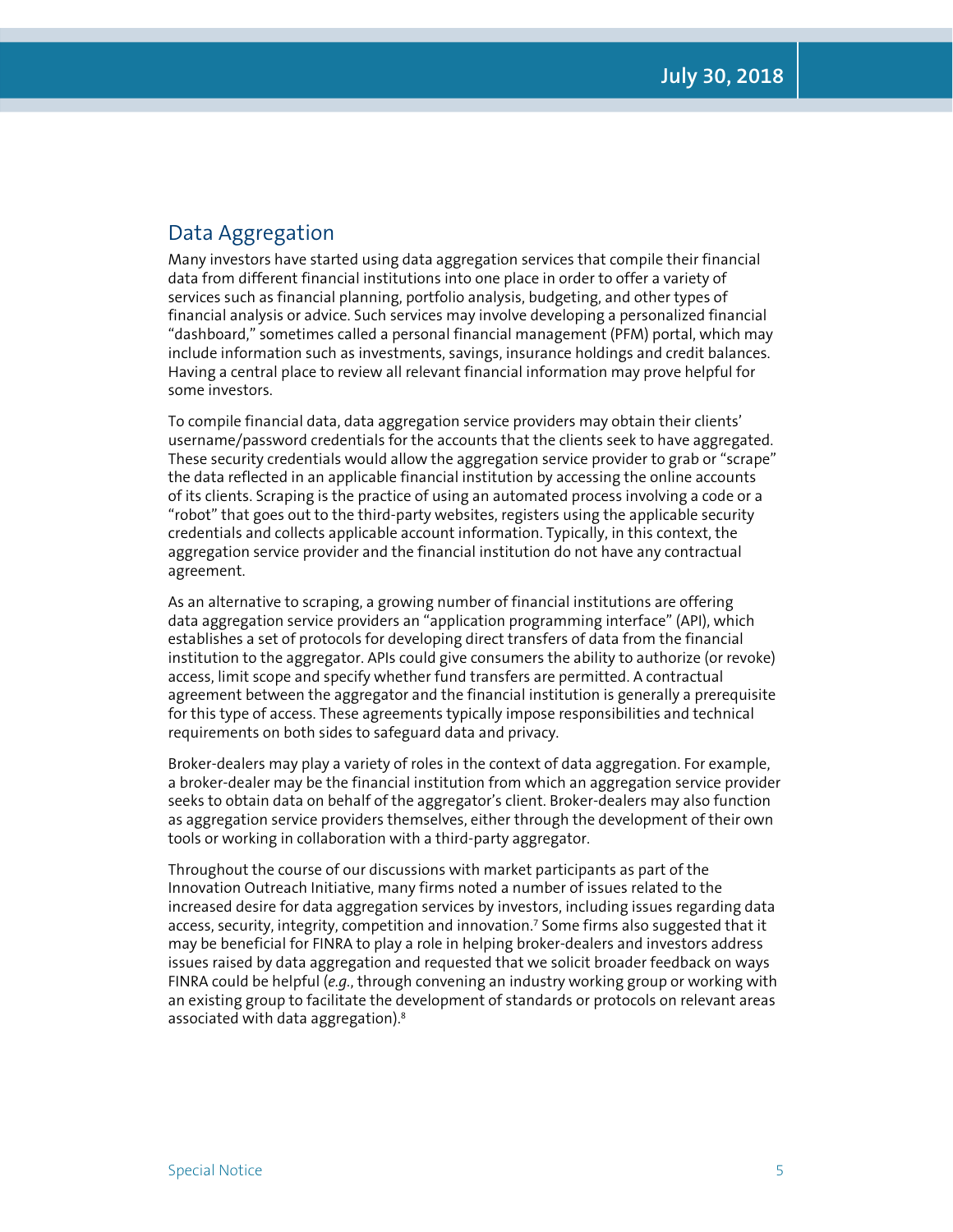### Data Aggregation

Many investors have started using data aggregation services that compile their financial data from different financial institutions into one place in order to offer a variety of services such as financial planning, portfolio analysis, budgeting, and other types of financial analysis or advice. Such services may involve developing a personalized financial "dashboard," sometimes called a personal financial management (PFM) portal, which may include information such as investments, savings, insurance holdings and credit balances. Having a central place to review all relevant financial information may prove helpful for some investors.

To compile financial data, data aggregation service providers may obtain their clients' username/password credentials for the accounts that the clients seek to have aggregated. These security credentials would allow the aggregation service provider to grab or "scrape" the data reflected in an applicable financial institution by accessing the online accounts of its clients. Scraping is the practice of using an automated process involving a code or a "robot" that goes out to the third-party websites, registers using the applicable security credentials and collects applicable account information. Typically, in this context, the aggregation service provider and the financial institution do not have any contractual agreement.

As an alternative to scraping, a growing number of financial institutions are offering data aggregation service providers an "application programming interface" (API), which establishes a set of protocols for developing direct transfers of data from the financial institution to the aggregator. APIs could give consumers the ability to authorize (or revoke) access, limit scope and specify whether fund transfers are permitted. A contractual agreement between the aggregator and the financial institution is generally a prerequisite for this type of access. These agreements typically impose responsibilities and technical requirements on both sides to safeguard data and privacy.

Broker-dealers may play a variety of roles in the context of data aggregation. For example, a broker-dealer may be the financial institution from which an aggregation service provider seeks to obtain data on behalf of the aggregator's client. Broker-dealers may also function as aggregation service providers themselves, either through the development of their own tools or working in collaboration with a third-party aggregator.

Throughout the course of our discussions with market participants as part of the Innovation Outreach Initiative, many firms noted a number of issues related to the increased desire for data aggregation services by investors, including issues regarding data access, security, integrity, competition and innovation.<sup>7</sup> Some firms also suggested that it may be beneficial for FINRA to play a role in helping broker-dealers and investors address issues raised by data aggregation and requested that we solicit broader feedback on ways FINRA could be helpful (*e.g.*, through convening an industry working group or working with an existing group to facilitate the development of standards or protocols on relevant areas associated with data aggregation).<sup>8</sup>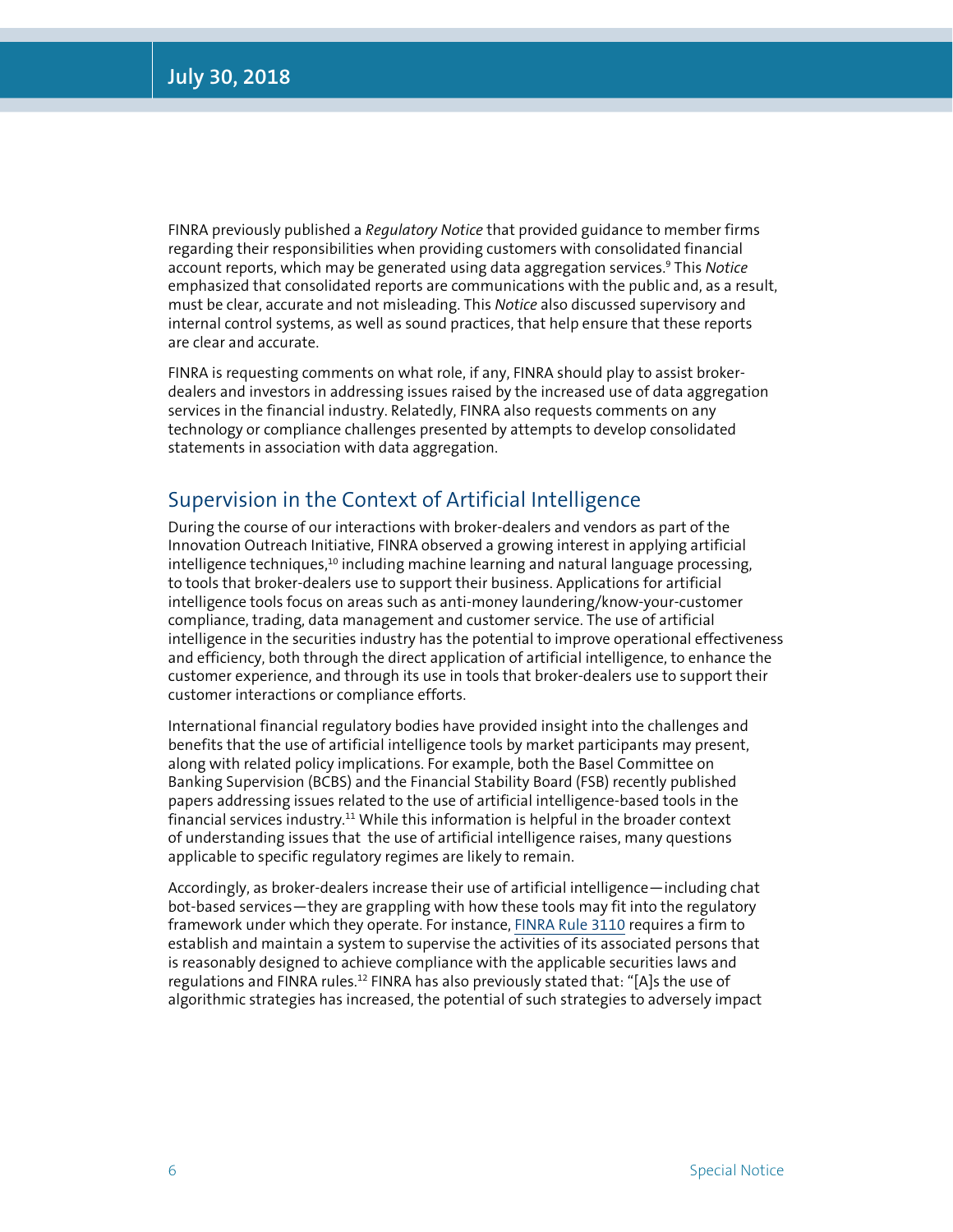FINRA previously published a *Regulatory Notice* that provided guidance to member firms regarding their responsibilities when providing customers with consolidated financial account reports, which may be generated using data aggregation services.9 This *Notice*  emphasized that consolidated reports are communications with the public and, as a result, must be clear, accurate and not misleading. This *Notice* also discussed supervisory and internal control systems, as well as sound practices, that help ensure that these reports are clear and accurate.

FINRA is requesting comments on what role, if any, FINRA should play to assist brokerdealers and investors in addressing issues raised by the increased use of data aggregation services in the financial industry. Relatedly, FINRA also requests comments on any technology or compliance challenges presented by attempts to develop consolidated statements in association with data aggregation.

#### Supervision in the Context of Artificial Intelligence

During the course of our interactions with broker-dealers and vendors as part of the Innovation Outreach Initiative, FINRA observed a growing interest in applying artificial  $int$ elligence techniques, $10$  including machine learning and natural language processing, to tools that broker-dealers use to support their business. Applications for artificial intelligence tools focus on areas such as anti-money laundering/know-your-customer compliance, trading, data management and customer service. The use of artificial intelligence in the securities industry has the potential to improve operational effectiveness and efficiency, both through the direct application of artificial intelligence, to enhance the customer experience, and through its use in tools that broker-dealers use to support their customer interactions or compliance efforts.

International financial regulatory bodies have provided insight into the challenges and benefits that the use of artificial intelligence tools by market participants may present, along with related policy implications. For example, both the Basel Committee on Banking Supervision (BCBS) and the Financial Stability Board (FSB) recently published papers addressing issues related to the use of artificial intelligence-based tools in the financial services industry.<sup>11</sup> While this information is helpful in the broader context of understanding issues that the use of artificial intelligence raises, many questions applicable to specific regulatory regimes are likely to remain.

Accordingly, as broker-dealers increase their use of artificial intelligence—including chat bot-based services—they are grappling with how these tools may fit into the regulatory framework under which they operate. For instance, [FINRA Rule 3110](http://www.finra.org/finramanual/rules/r3110) requires a firm to establish and maintain a system to supervise the activities of its associated persons that is reasonably designed to achieve compliance with the applicable securities laws and regulations and FINRA rules.<sup>12</sup> FINRA has also previously stated that: "[A]s the use of algorithmic strategies has increased, the potential of such strategies to adversely impact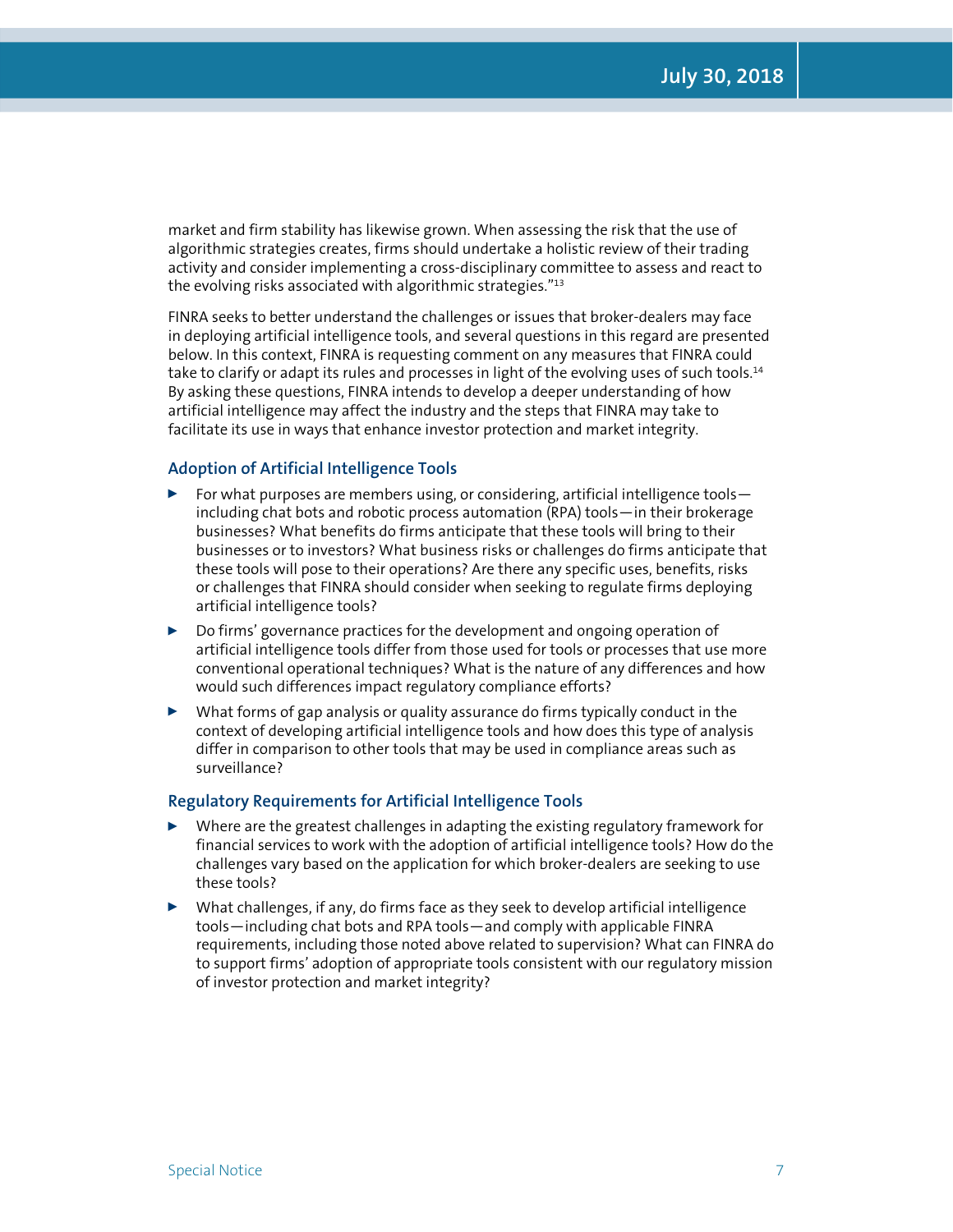market and firm stability has likewise grown. When assessing the risk that the use of algorithmic strategies creates, firms should undertake a holistic review of their trading activity and consider implementing a cross-disciplinary committee to assess and react to the evolving risks associated with algorithmic strategies."<sup>13</sup>

FINRA seeks to better understand the challenges or issues that broker-dealers may face in deploying artificial intelligence tools, and several questions in this regard are presented below. In this context, FINRA is requesting comment on any measures that FINRA could take to clarify or adapt its rules and processes in light of the evolving uses of such tools.<sup>14</sup> By asking these questions, FINRA intends to develop a deeper understanding of how artificial intelligence may affect the industry and the steps that FINRA may take to facilitate its use in ways that enhance investor protection and market integrity.

#### **Adoption of Artificial Intelligence Tools**

- For what purposes are members using, or considering, artificial intelligence tools including chat bots and robotic process automation (RPA) tools—in their brokerage businesses? What benefits do firms anticipate that these tools will bring to their businesses or to investors? What business risks or challenges do firms anticipate that these tools will pose to their operations? Are there any specific uses, benefits, risks or challenges that FINRA should consider when seeking to regulate firms deploying artificial intelligence tools?
- $\triangleright$  Do firms' governance practices for the development and ongoing operation of artificial intelligence tools differ from those used for tools or processes that use more conventional operational techniques? What is the nature of any differences and how would such differences impact regulatory compliance efforts?
- $\triangleright$  What forms of gap analysis or quality assurance do firms typically conduct in the context of developing artificial intelligence tools and how does this type of analysis differ in comparison to other tools that may be used in compliance areas such as surveillance?

#### **Regulatory Requirements for Artificial Intelligence Tools**

- $\blacktriangleright$  Where are the greatest challenges in adapting the existing regulatory framework for financial services to work with the adoption of artificial intelligence tools? How do the challenges vary based on the application for which broker-dealers are seeking to use these tools?
- <sup>0</sup> What challenges, if any, do firms face as they seek to develop artificial intelligence tools—including chat bots and RPA tools—and comply with applicable FINRA requirements, including those noted above related to supervision? What can FINRA do to support firms' adoption of appropriate tools consistent with our regulatory mission of investor protection and market integrity?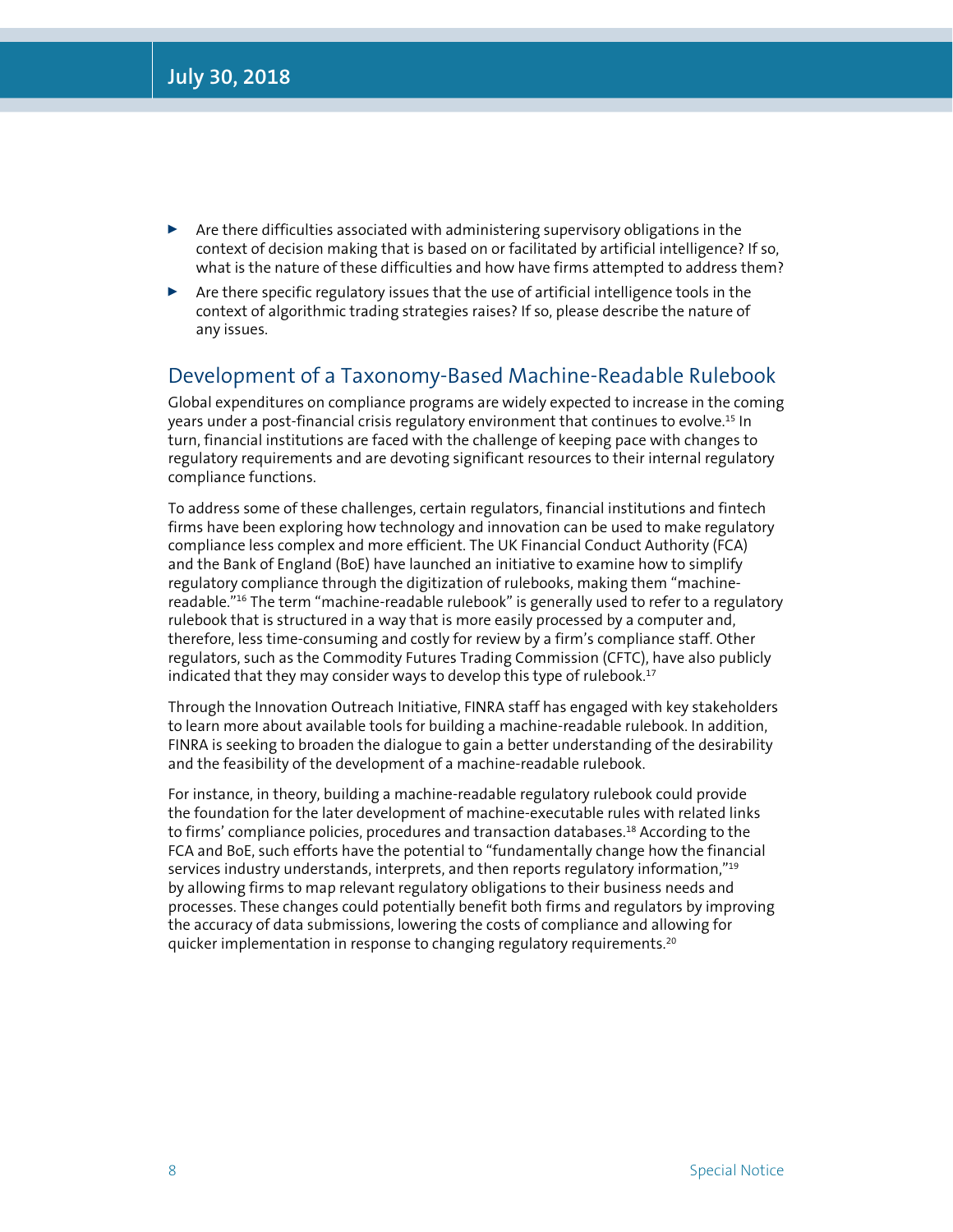- $\blacktriangleright$  Are there difficulties associated with administering supervisory obligations in the context of decision making that is based on or facilitated by artificial intelligence? If so, what is the nature of these difficulties and how have firms attempted to address them?
- $\triangleright$  Are there specific regulatory issues that the use of artificial intelligence tools in the context of algorithmic trading strategies raises? If so, please describe the nature of any issues.

#### Development of a Taxonomy-Based Machine-Readable Rulebook

Global expenditures on compliance programs are widely expected to increase in the coming years under a post-financial crisis regulatory environment that continues to evolve.15 In turn, financial institutions are faced with the challenge of keeping pace with changes to regulatory requirements and are devoting significant resources to their internal regulatory compliance functions.

To address some of these challenges, certain regulators, financial institutions and fintech firms have been exploring how technology and innovation can be used to make regulatory compliance less complex and more efficient. The UK Financial Conduct Authority (FCA) and the Bank of England (BoE) have launched an initiative to examine how to simplify regulatory compliance through the digitization of rulebooks, making them "machinereadable."16 The term "machine-readable rulebook" is generally used to refer to a regulatory rulebook that is structured in a way that is more easily processed by a computer and, therefore, less time-consuming and costly for review by a firm's compliance staff. Other regulators, such as the Commodity Futures Trading Commission (CFTC), have also publicly indicated that they may consider ways to develop this type of rulebook.<sup>17</sup>

Through the Innovation Outreach Initiative, FINRA staff has engaged with key stakeholders to learn more about available tools for building a machine-readable rulebook. In addition, FINRA is seeking to broaden the dialogue to gain a better understanding of the desirability and the feasibility of the development of a machine-readable rulebook.

For instance, in theory, building a machine-readable regulatory rulebook could provide the foundation for the later development of machine-executable rules with related links to firms' compliance policies, procedures and transaction databases.<sup>18</sup> According to the FCA and BoE, such efforts have the potential to "fundamentally change how the financial services industry understands, interprets, and then reports regulatory information,"<sup>19</sup> by allowing firms to map relevant regulatory obligations to their business needs and processes. These changes could potentially benefit both firms and regulators by improving the accuracy of data submissions, lowering the costs of compliance and allowing for quicker implementation in response to changing regulatory requirements.<sup>20</sup>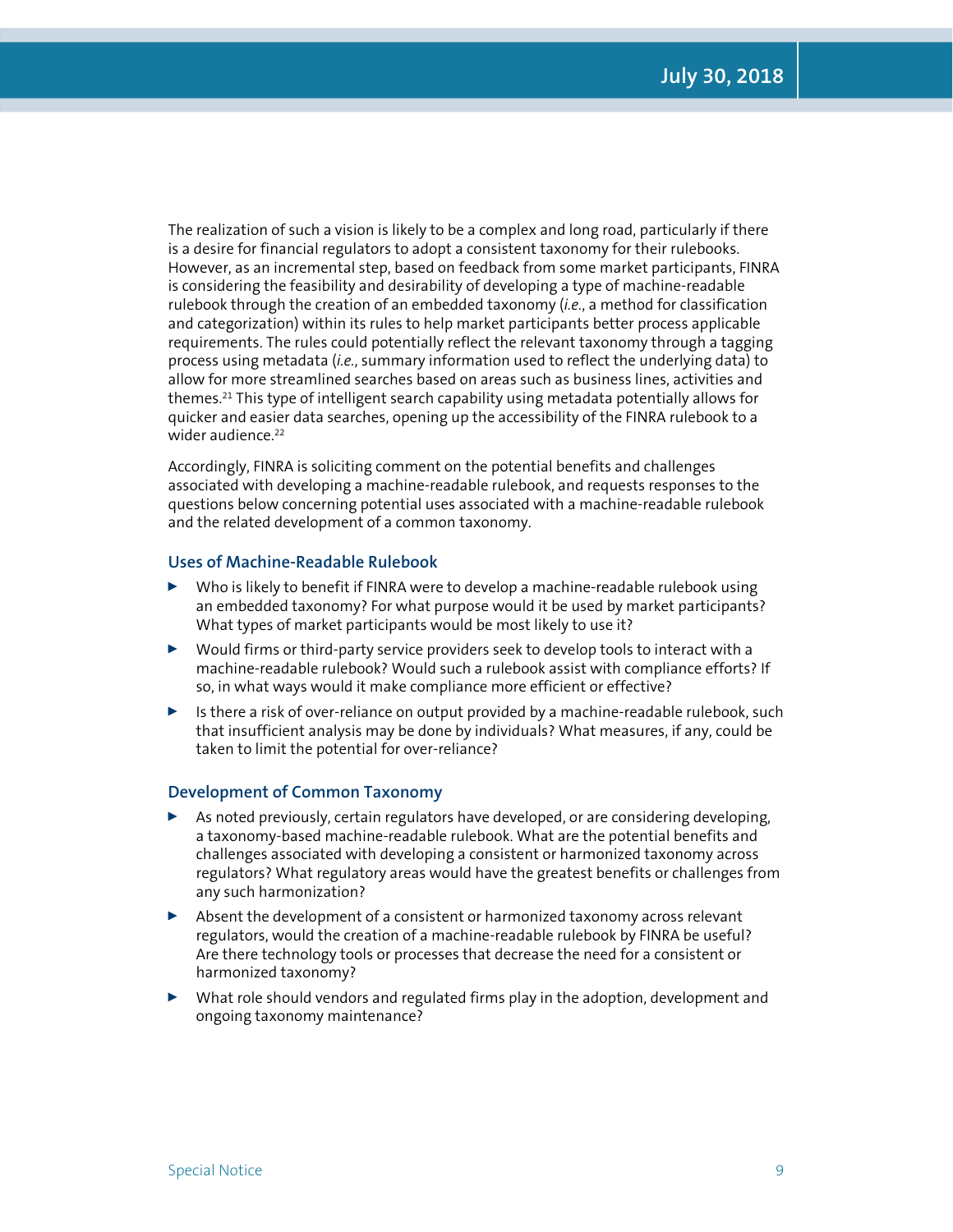The realization of such a vision is likely to be a complex and long road, particularly if there is a desire for financial regulators to adopt a consistent taxonomy for their rulebooks. However, as an incremental step, based on feedback from some market participants, FINRA is considering the feasibility and desirability of developing a type of machine-readable rulebook through the creation of an embedded taxonomy (*i.e.*, a method for classification and categorization) within its rules to help market participants better process applicable requirements. The rules could potentially reflect the relevant taxonomy through a tagging process using metadata (*i.e.*, summary information used to reflect the underlying data) to allow for more streamlined searches based on areas such as business lines, activities and themes.21 This type of intelligent search capability using metadata potentially allows for quicker and easier data searches, opening up the accessibility of the FINRA rulebook to a wider audience.<sup>22</sup>

Accordingly, FINRA is soliciting comment on the potential benefits and challenges associated with developing a machine-readable rulebook, and requests responses to the questions below concerning potential uses associated with a machine-readable rulebook and the related development of a common taxonomy.

#### **Uses of Machine-Readable Rulebook**

- $\triangleright$  Who is likely to benefit if FINRA were to develop a machine-readable rulebook using an embedded taxonomy? For what purpose would it be used by market participants? What types of market participants would be most likely to use it?
- $\triangleright$  Would firms or third-party service providers seek to develop tools to interact with a machine-readable rulebook? Would such a rulebook assist with compliance efforts? If so, in what ways would it make compliance more efficient or effective?
- $\triangleright$  Is there a risk of over-reliance on output provided by a machine-readable rulebook, such that insufficient analysis may be done by individuals? What measures, if any, could be taken to limit the potential for over-reliance?

#### **Development of Common Taxonomy**

- As noted previously, certain regulators have developed, or are considering developing, a taxonomy-based machine-readable rulebook. What are the potential benefits and challenges associated with developing a consistent or harmonized taxonomy across regulators? What regulatory areas would have the greatest benefits or challenges from any such harmonization?
- $\blacktriangleright$  Absent the development of a consistent or harmonized taxonomy across relevant regulators, would the creation of a machine-readable rulebook by FINRA be useful? Are there technology tools or processes that decrease the need for a consistent or harmonized taxonomy?
- $\blacktriangleright$  What role should vendors and regulated firms play in the adoption, development and ongoing taxonomy maintenance?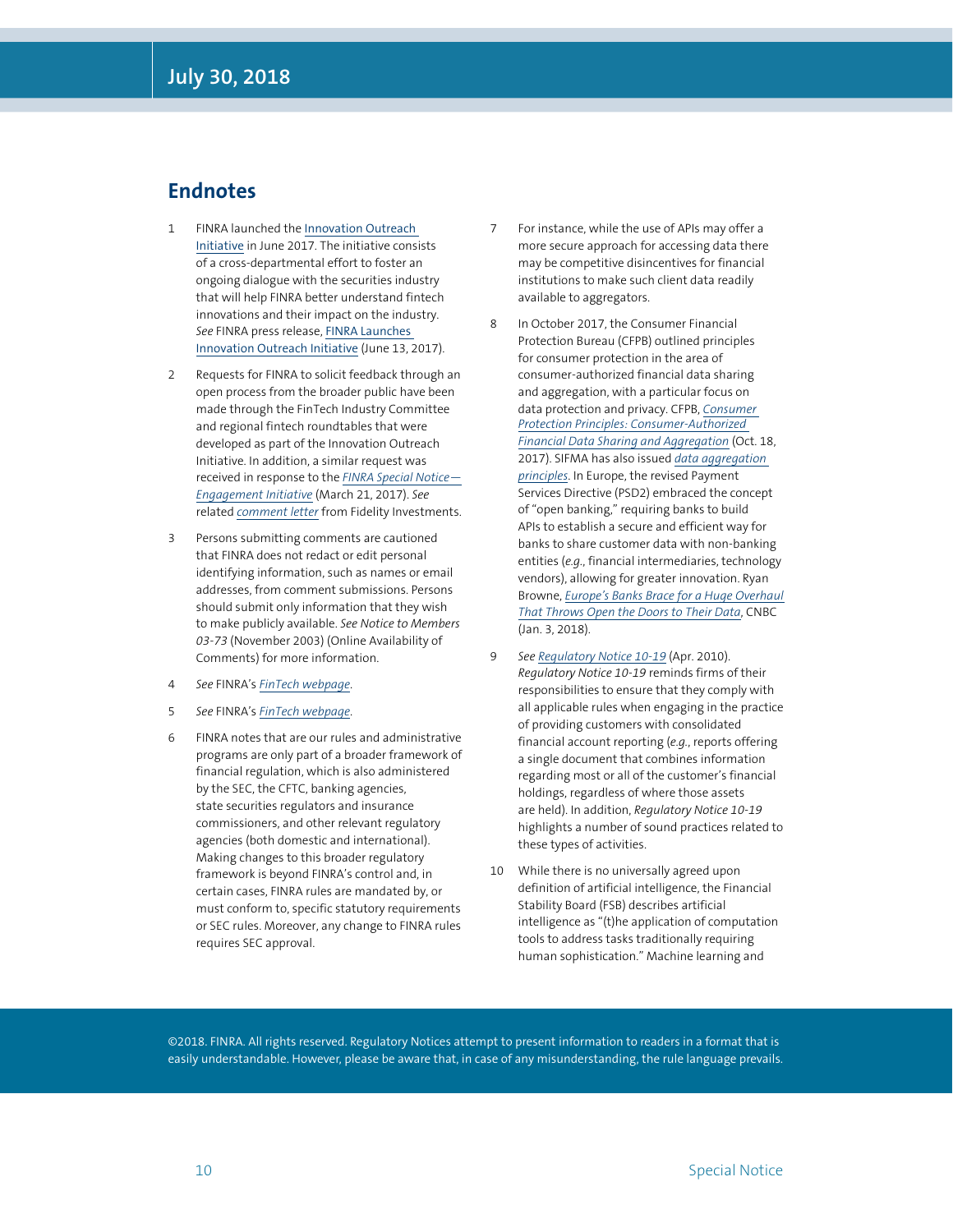#### **Endnotes**

- 1 FINRA launched the [Innovation Outreach](http://www.finra.org/fintech)  [Initiative](http://www.finra.org/fintech) in June 2017. The initiative consists of a cross-departmental effort to foster an ongoing dialogue with the securities industry that will help FINRA better understand fintech innovations and their impact on the industry. *See* FINRA press release, [FINRA Launches](http://www.finra.org/newsroom/2017/finra-launches-innovation-outreach-initiative)  [Innovation Outreach Initiative](http://www.finra.org/newsroom/2017/finra-launches-innovation-outreach-initiative) (June 13, 2017).
- 2 Requests for FINRA to solicit feedback through an open process from the broader public have been made through the FinTech Industry Committee and regional fintech roundtables that were developed as part of the Innovation Outreach Initiative. In addition, a similar request was received in response to the *[FINRA Special Notice—](http://www.finra.org/industry/special-notice-032117) [Engagement Initiative](http://www.finra.org/industry/special-notice-032117)* (March 21, 2017). *See*  related *[comment letter](http://www.finra.org/sites/default/files/notice_comment_file_ref/SN-32117_Fidelity_comment.pdf)* from Fidelity Investments.
- 3 Persons submitting comments are cautioned that FINRA does not redact or edit personal identifying information, such as names or email addresses, from comment submissions. Persons should submit only information that they wish to make publicly available. *See Notice to Members 03-73* (November 2003) (Online Availability of Comments) for more information.
- 4 *See* FINRA's *[FinTech webpage](http://www.finra.org/industry/fintech)*.
- 5 *See* FINRA's *[FinTech webpage](http://www.finra.org/industry/fintech)*.
- 6 FINRA notes that are our rules and administrative programs are only part of a broader framework of financial regulation, which is also administered by the SEC, the CFTC, banking agencies, state securities regulators and insurance commissioners, and other relevant regulatory agencies (both domestic and international). Making changes to this broader regulatory framework is beyond FINRA's control and, in certain cases, FINRA rules are mandated by, or must conform to, specific statutory requirements or SEC rules. Moreover, any change to FINRA rules requires SEC approval.
- 7 For instance, while the use of APIs may offer a more secure approach for accessing data there may be competitive disincentives for financial institutions to make such client data readily available to aggregators.
- 8 In October 2017, the Consumer Financial Protection Bureau (CFPB) outlined principles for consumer protection in the area of consumer-authorized financial data sharing and aggregation, with a particular focus on data protection and privacy. CFPB, *[Consumer](https://files.consumerfinance.gov/f/documents/cfpb_consumer-protection-principles_data-aggregation.pdf)  [Protection Principles: Consumer-Authorized](https://files.consumerfinance.gov/f/documents/cfpb_consumer-protection-principles_data-aggregation.pdf)  [Financial Data Sharing and Aggregation](https://files.consumerfinance.gov/f/documents/cfpb_consumer-protection-principles_data-aggregation.pdf)* (Oct. 18, 2017). SIFMA has also issued *[data aggregation](https://www.sifma.org/resources/general/data-aggregation-principles/)  [principles](https://www.sifma.org/resources/general/data-aggregation-principles/)*. In Europe, the revised Payment Services Directive (PSD2) embraced the concept of "open banking," requiring banks to build APIs to establish a secure and efficient way for banks to share customer data with non-banking entities (*e.g.*, financial intermediaries, technology vendors), allowing for greater innovation. Ryan Browne, *[Europe's Banks Brace for a Huge Overhaul](https://www.cnbc.com/2017/12/25/psd2-europes-banks-brace-for-new-eu-data-sharing-rules.html)  [That Throws Open the Doors to Their Data](https://www.cnbc.com/2017/12/25/psd2-europes-banks-brace-for-new-eu-data-sharing-rules.html)*, CNBC (Jan. 3, 2018).
- 9 *See [Regulatory Notice 10-19](http://www.finra.org/industry/notices/10-19)* (Apr. 2010). *Regulatory Notice 10-19* reminds firms of their responsibilities to ensure that they comply with all applicable rules when engaging in the practice of providing customers with consolidated financial account reporting (*e.g.*, reports offering a single document that combines information regarding most or all of the customer's financial holdings, regardless of where those assets are held). In addition, *Regulatory Notice 10-19*  highlights a number of sound practices related to these types of activities.
- 10 While there is no universally agreed upon definition of artificial intelligence, the Financial Stability Board (FSB) describes artificial intelligence as "(t)he application of computation tools to address tasks traditionally requiring human sophistication." Machine learning and

©2018. FINRA. All rights reserved. Regulatory Notices attempt to present information to readers in a format that is easily understandable. However, please be aware that, in case of any misunderstanding, the rule language prevails.